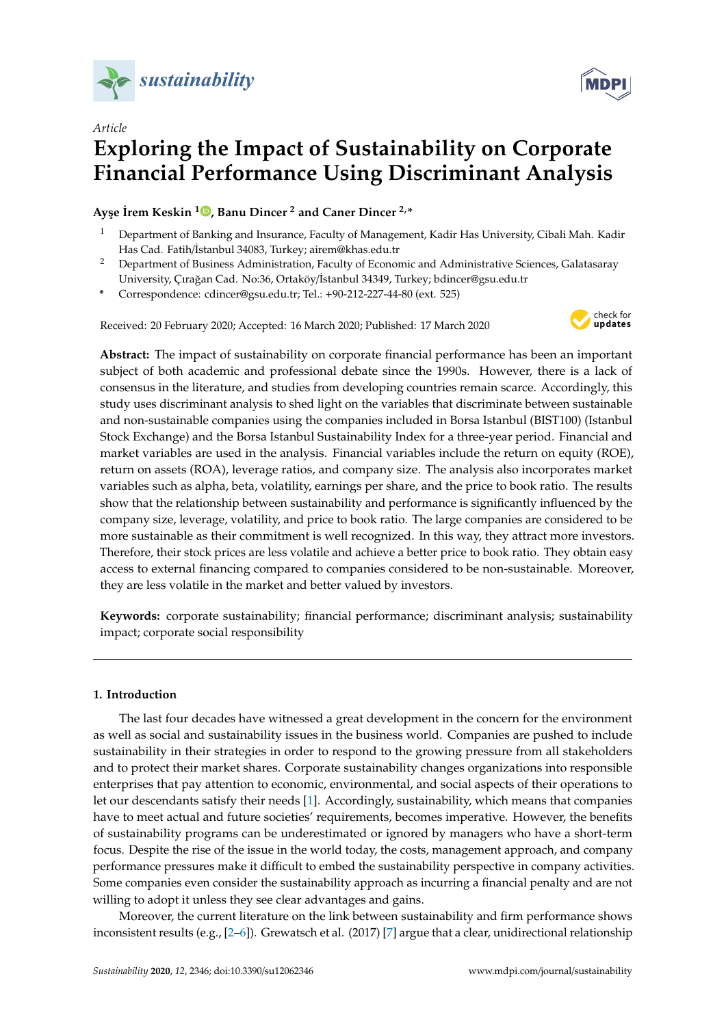

*Article*



# **Exploring the Impact of Sustainability on Corporate Financial Performance Using Discriminant Analysis**

**Ay¸se ˙Irem Keskin <sup>1</sup> [,](https://orcid.org/0000-0002-9435-9801) Banu Dincer <sup>2</sup> and Caner Dincer 2,\***

- <sup>1</sup> Department of Banking and Insurance, Faculty of Management, Kadir Has University, Cibali Mah. Kadir Has Cad. Fatih/İstanbul 34083, Turkey; airem@khas.edu.tr
- <sup>2</sup> Department of Business Administration, Faculty of Economic and Administrative Sciences, Galatasaray University, Çırağan Cad. No:36, Ortaköy/İstanbul 34349, Turkey; bdincer@gsu.edu.tr
- **\*** Correspondence: cdincer@gsu.edu.tr; Tel.: +90-212-227-44-80 (ext. 525)

Received: 20 February 2020; Accepted: 16 March 2020; Published: 17 March 2020



**Abstract:** The impact of sustainability on corporate financial performance has been an important subject of both academic and professional debate since the 1990s. However, there is a lack of consensus in the literature, and studies from developing countries remain scarce. Accordingly, this study uses discriminant analysis to shed light on the variables that discriminate between sustainable and non-sustainable companies using the companies included in Borsa Istanbul (BIST100) (Istanbul Stock Exchange) and the Borsa Istanbul Sustainability Index for a three-year period. Financial and market variables are used in the analysis. Financial variables include the return on equity (ROE), return on assets (ROA), leverage ratios, and company size. The analysis also incorporates market variables such as alpha, beta, volatility, earnings per share, and the price to book ratio. The results show that the relationship between sustainability and performance is significantly influenced by the company size, leverage, volatility, and price to book ratio. The large companies are considered to be more sustainable as their commitment is well recognized. In this way, they attract more investors. Therefore, their stock prices are less volatile and achieve a better price to book ratio. They obtain easy access to external financing compared to companies considered to be non-sustainable. Moreover, they are less volatile in the market and better valued by investors.

**Keywords:** corporate sustainability; financial performance; discriminant analysis; sustainability impact; corporate social responsibility

# **1. Introduction**

The last four decades have witnessed a great development in the concern for the environment as well as social and sustainability issues in the business world. Companies are pushed to include sustainability in their strategies in order to respond to the growing pressure from all stakeholders and to protect their market shares. Corporate sustainability changes organizations into responsible enterprises that pay attention to economic, environmental, and social aspects of their operations to let our descendants satisfy their needs [\[1\]](#page-10-0). Accordingly, sustainability, which means that companies have to meet actual and future societies' requirements, becomes imperative. However, the benefits of sustainability programs can be underestimated or ignored by managers who have a short-term focus. Despite the rise of the issue in the world today, the costs, management approach, and company performance pressures make it difficult to embed the sustainability perspective in company activities. Some companies even consider the sustainability approach as incurring a financial penalty and are not willing to adopt it unless they see clear advantages and gains.

Moreover, the current literature on the link between sustainability and firm performance shows inconsistent results (e.g., [\[2–](#page-10-1)[6\]](#page-10-2)). Grewatsch et al. (2017) [\[7\]](#page-10-3) argue that a clear, unidirectional relationship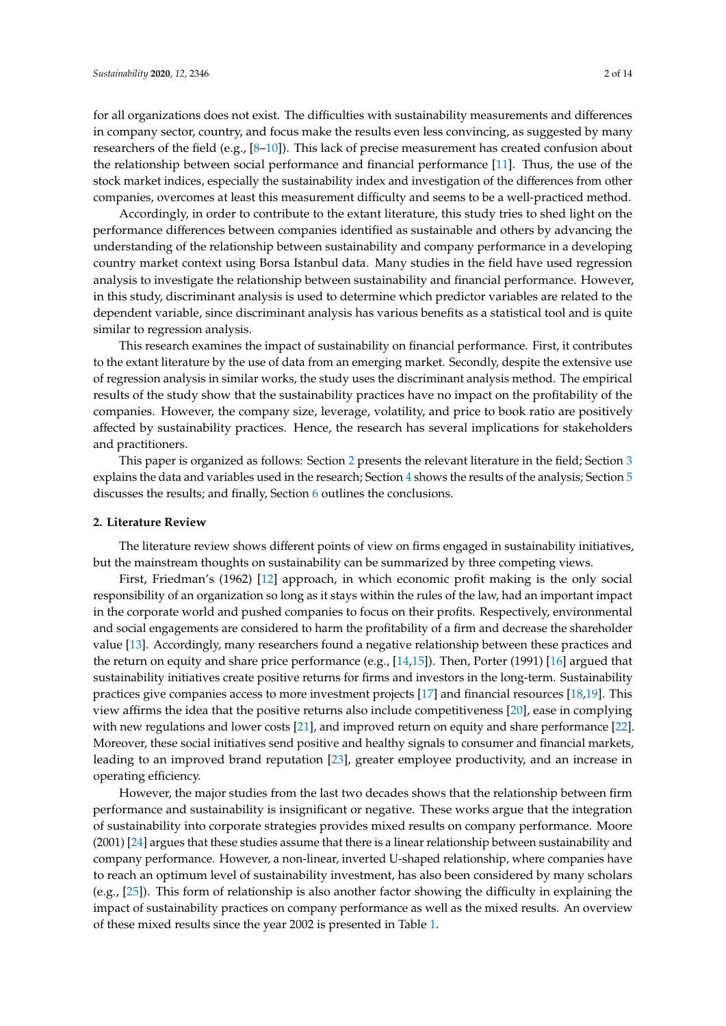for all organizations does not exist. The difficulties with sustainability measurements and differences in company sector, country, and focus make the results even less convincing, as suggested by many researchers of the field (e.g., [\[8–](#page-10-4)[10\]](#page-10-5)). This lack of precise measurement has created confusion about the relationship between social performance and financial performance [\[11\]](#page-10-6). Thus, the use of the stock market indices, especially the sustainability index and investigation of the differences from other companies, overcomes at least this measurement difficulty and seems to be a well-practiced method.

Accordingly, in order to contribute to the extant literature, this study tries to shed light on the performance differences between companies identified as sustainable and others by advancing the understanding of the relationship between sustainability and company performance in a developing country market context using Borsa Istanbul data. Many studies in the field have used regression analysis to investigate the relationship between sustainability and financial performance. However, in this study, discriminant analysis is used to determine which predictor variables are related to the dependent variable, since discriminant analysis has various benefits as a statistical tool and is quite similar to regression analysis.

This research examines the impact of sustainability on financial performance. First, it contributes to the extant literature by the use of data from an emerging market. Secondly, despite the extensive use of regression analysis in similar works, the study uses the discriminant analysis method. The empirical results of the study show that the sustainability practices have no impact on the profitability of the companies. However, the company size, leverage, volatility, and price to book ratio are positively affected by sustainability practices. Hence, the research has several implications for stakeholders and practitioners.

This paper is organized as follows: Section [2](#page-1-0) presents the relevant literature in the field; Section [3](#page-4-0) explains the data and variables used in the research; Section [4](#page-6-0) shows the results of the analysis; Section [5](#page-8-0) discusses the results; and finally, Section [6](#page-9-0) outlines the conclusions.

#### <span id="page-1-0"></span>**2. Literature Review**

The literature review shows different points of view on firms engaged in sustainability initiatives, but the mainstream thoughts on sustainability can be summarized by three competing views.

First, Friedman's (1962) [\[12\]](#page-10-7) approach, in which economic profit making is the only social responsibility of an organization so long as it stays within the rules of the law, had an important impact in the corporate world and pushed companies to focus on their profits. Respectively, environmental and social engagements are considered to harm the profitability of a firm and decrease the shareholder value [\[13\]](#page-10-8). Accordingly, many researchers found a negative relationship between these practices and the return on equity and share price performance (e.g., [\[14](#page-10-9)[,15\]](#page-10-10)). Then, Porter (1991) [\[16\]](#page-10-11) argued that sustainability initiatives create positive returns for firms and investors in the long-term. Sustainability practices give companies access to more investment projects [\[17\]](#page-10-12) and financial resources [\[18,](#page-11-0)[19\]](#page-11-1). This view affirms the idea that the positive returns also include competitiveness [\[20\]](#page-11-2), ease in complying with new regulations and lower costs [\[21\]](#page-11-3), and improved return on equity and share performance [\[22\]](#page-11-4). Moreover, these social initiatives send positive and healthy signals to consumer and financial markets, leading to an improved brand reputation [\[23\]](#page-11-5), greater employee productivity, and an increase in operating efficiency.

However, the major studies from the last two decades shows that the relationship between firm performance and sustainability is insignificant or negative. These works argue that the integration of sustainability into corporate strategies provides mixed results on company performance. Moore (2001) [\[24\]](#page-11-6) argues that these studies assume that there is a linear relationship between sustainability and company performance. However, a non-linear, inverted U-shaped relationship, where companies have to reach an optimum level of sustainability investment, has also been considered by many scholars (e.g., [\[25\]](#page-11-7)). This form of relationship is also another factor showing the difficulty in explaining the impact of sustainability practices on company performance as well as the mixed results. An overview of these mixed results since the year 2002 is presented in Table [1.](#page-4-1)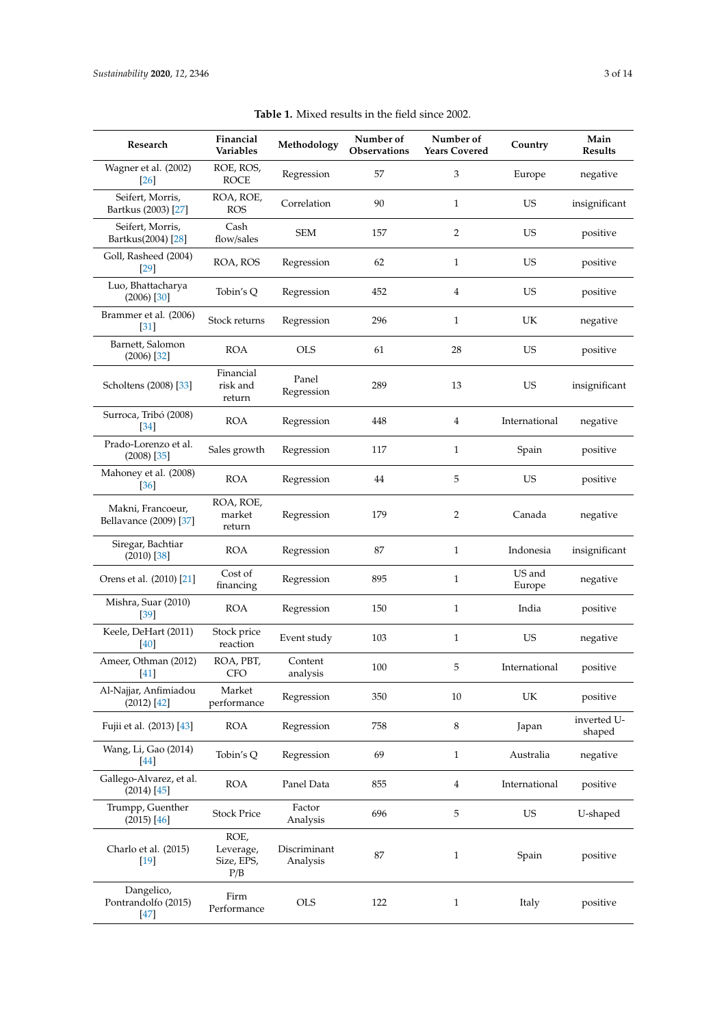| Research                                    | Financial<br>Variables                 | Methodology              | Number of<br><b>Observations</b> | Number of<br><b>Years Covered</b> | Country          | Main<br><b>Results</b> |
|---------------------------------------------|----------------------------------------|--------------------------|----------------------------------|-----------------------------------|------------------|------------------------|
| Wagner et al. (2002)<br>$[26]$              | ROE, ROS,<br><b>ROCE</b>               | Regression               | 57                               | 3                                 | Europe           | negative               |
| Seifert, Morris,<br>Bartkus (2003) [27]     | ROA, ROE,<br>ROS                       | Correlation              | 90                               | $\mathbf{1}$                      | US               | insignificant          |
| Seifert, Morris,<br>Bartkus(2004) [28]      | Cash<br>flow/sales                     | SEM                      | 157                              | $\overline{2}$                    | <b>US</b>        | positive               |
| Goll, Rasheed (2004)<br>[29]                | ROA, ROS                               | Regression               | 62                               | $\mathbf{1}$                      | <b>US</b>        | positive               |
| Luo, Bhattacharya<br>$(2006)$ [30]          | Tobin's Q                              | Regression               | 452                              | $\overline{4}$                    | <b>US</b>        | positive               |
| Brammer et al. (2006)<br>[31]               | Stock returns                          | Regression               | 296                              | $\mathbf{1}$                      | UK               | negative               |
| Barnett, Salomon<br>$(2006)$ [32]           | <b>ROA</b>                             | <b>OLS</b>               | 61                               | 28                                | <b>US</b>        | positive               |
| Scholtens (2008) [33]                       | Financial<br>risk and<br>return        | Panel<br>Regression      | 289                              | 13                                | <b>US</b>        | insignificant          |
| Surroca, Tribó (2008)<br>[34]               | <b>ROA</b>                             | Regression               | 448                              | $\overline{4}$                    | International    | negative               |
| Prado-Lorenzo et al.<br>$(2008)$ [35]       | Sales growth                           | Regression               | 117                              | 1                                 | Spain            | positive               |
| Mahoney et al. (2008)<br>[36]               | <b>ROA</b>                             | Regression               | 44                               | 5                                 | US               | positive               |
| Makni, Francoeur,<br>Bellavance (2009) [37] | ROA, ROE,<br>market<br>return          | Regression               | 179                              | 2                                 | Canada           | negative               |
| Siregar, Bachtiar<br>$(2010)$ [38]          | <b>ROA</b>                             | Regression               | 87                               | $\mathbf{1}$                      | Indonesia        | insignificant          |
| Orens et al. (2010) [21]                    | Cost of<br>financing                   | Regression               | 895                              | $\mathbf{1}$                      | US and<br>Europe | negative               |
| Mishra, Suar (2010)<br>[39]                 | <b>ROA</b>                             | Regression               | 150                              | $\mathbf{1}$                      | India            | positive               |
| Keele, DeHart (2011)<br>[40]                | Stock price<br>reaction                | Event study              | 103                              | $\mathbf{1}$                      | <b>US</b>        | negative               |
| Ameer, Othman (2012)<br>$[41]$              | ROA, PBT,<br><b>CFO</b>                | Content<br>analysis      | 100                              | 5                                 | International    | positive               |
| Al-Najjar, Anfimiadou<br>(2012) [42]        | Market<br>performance                  | Regression               | 350                              | 10                                | UK               | positive               |
| Fujii et al. (2013) [43]                    | <b>ROA</b>                             | Regression               | 758                              | $\,8\,$                           | Japan            | inverted U-<br>shaped  |
| Wang, Li, Gao (2014)<br>$[44]$              | Tobin's Q                              | Regression               | 69                               | $\mathbf{1}$                      | Australia        | negative               |
| Gallego-Alvarez, et al.<br>$(2014)$ [45]    | <b>ROA</b>                             | Panel Data               | 855                              | $\overline{4}$                    | International    | positive               |
| Trumpp, Guenther<br>$(2015)$ [46]           | <b>Stock Price</b>                     | Factor<br>Analysis       | 696                              | 5                                 | US               | U-shaped               |
| Charlo et al. (2015)<br>$[19]$              | ROE,<br>Leverage,<br>Size, EPS,<br>P/B | Discriminant<br>Analysis | 87                               | $\mathbf{1}$                      | Spain            | positive               |
| Dangelico,<br>Pontrandolfo (2015)<br>$[47]$ | Firm<br>Performance                    | <b>OLS</b>               | 122                              | $\mathbf{1}$                      | Italy            | positive               |

**Table 1.** Mixed results in the field since 2002.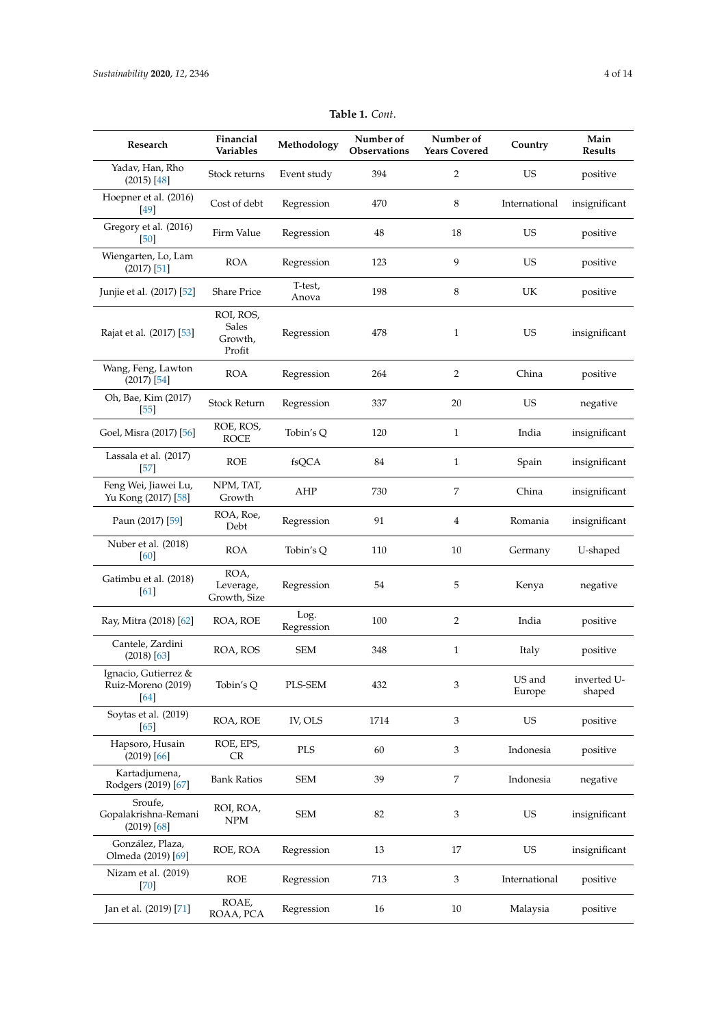| Research                                           | Financial<br>Variables                  | Methodology        | Number of<br><b>Observations</b> | Number of<br><b>Years Covered</b> | Country          | Main<br><b>Results</b> |
|----------------------------------------------------|-----------------------------------------|--------------------|----------------------------------|-----------------------------------|------------------|------------------------|
| Yadav, Han, Rho<br>(2015) [48]                     | Stock returns                           | Event study        | 394                              | 2                                 | US               | positive               |
| Hoepner et al. (2016)<br>49                        | Cost of debt                            | Regression         | 470                              | $\,8\,$                           | International    | insignificant          |
| Gregory et al. (2016)<br>[50]                      | Firm Value                              | Regression         | 48                               | 18                                | US               | positive               |
| Wiengarten, Lo, Lam<br>$(2017)$ [51]               | <b>ROA</b>                              | Regression         | 123                              | $\overline{9}$                    | US               | positive               |
| Junjie et al. (2017) [52]                          | <b>Share Price</b>                      | T-test,<br>Anova   | 198                              | 8                                 | UK               | positive               |
| Rajat et al. (2017) [53]                           | ROI, ROS,<br>Sales<br>Growth,<br>Profit | Regression         | 478                              | $\mathbf{1}$                      | US               | insignificant          |
| Wang, Feng, Lawton<br>$(2017)$ [54]                | <b>ROA</b>                              | Regression         | 264                              | 2                                 | China            | positive               |
| Oh, Bae, Kim (2017)<br>$[55]$                      | Stock Return                            | Regression         | 337                              | 20                                | <b>US</b>        | negative               |
| Goel, Misra (2017) [56]                            | ROE, ROS,<br><b>ROCE</b>                | Tobin's Q          | 120                              | $\mathbf{1}$                      | India            | insignificant          |
| Lassala et al. (2017)<br>$[57]$                    | <b>ROE</b>                              | fsQCA              | 84                               | $\mathbf{1}$                      | Spain            | insignificant          |
| Feng Wei, Jiawei Lu,<br>Yu Kong (2017) [58]        | NPM, TAT,<br>Growth                     | AHP                | 730                              | 7                                 | China            | insignificant          |
| Paun (2017) [59]                                   | ROA, Roe,<br>Debt                       | Regression         | 91                               | 4                                 | Romania          | insignificant          |
| Nuber et al. (2018)<br>[60]                        | <b>ROA</b>                              | Tobin's Q          | 110                              | 10                                | Germany          | U-shaped               |
| Gatimbu et al. (2018)<br>[61]                      | ROA,<br>Leverage,<br>Growth, Size       | Regression         | 54                               | 5                                 | Kenya            | negative               |
| Ray, Mitra (2018) [62]                             | ROA, ROE                                | Log.<br>Regression | 100                              | $\overline{2}$                    | India            | positive               |
| Cantele, Zardini<br>(2018) [63]                    | ROA, ROS                                | <b>SEM</b>         | 348                              | $\mathbf{1}$                      | Italy            | positive               |
| Ignacio, Gutierrez &<br>Ruiz-Moreno (2019)<br>[64] | Tobin's Q                               | PLS-SEM            | 432                              | $\mathfrak{Z}$                    | US and<br>Europe | inverted U-<br>shaped  |
| Soytas et al. (2019)<br>$\lceil 65 \rceil$         | ROA, ROE                                | IV, OLS            | 1714                             | $\mathfrak{Z}$                    | US               | positive               |
| Hapsoro, Husain<br>(2019) [66]                     | ROE, EPS,<br>CR                         | <b>PLS</b>         | 60                               | $\mathfrak{Z}$                    | Indonesia        | positive               |
| Kartadjumena,<br>Rodgers (2019) [67]               | <b>Bank Ratios</b>                      | <b>SEM</b>         | 39                               | 7                                 | Indonesia        | negative               |
| Sroufe,<br>Gopalakrishna-Remani<br>$(2019)$ [68]   | ROI, ROA,<br>NPM                        | <b>SEM</b>         | 82                               | $\mathfrak{Z}$                    | <b>US</b>        | insignificant          |
| González, Plaza,<br>Olmeda (2019) [69]             | ROE, ROA                                | Regression         | 13                               | 17                                | <b>US</b>        | insignificant          |
| Nizam et al. (2019)<br>$[70]$                      | ROE                                     | Regression         | 713                              | $\mathfrak{Z}$                    | International    | positive               |
| Jan et al. (2019) [71]                             | ROAE,<br>ROAA, PCA                      | Regression         | 16                               | 10                                | Malaysia         | positive               |

**Table 1.** *Cont*.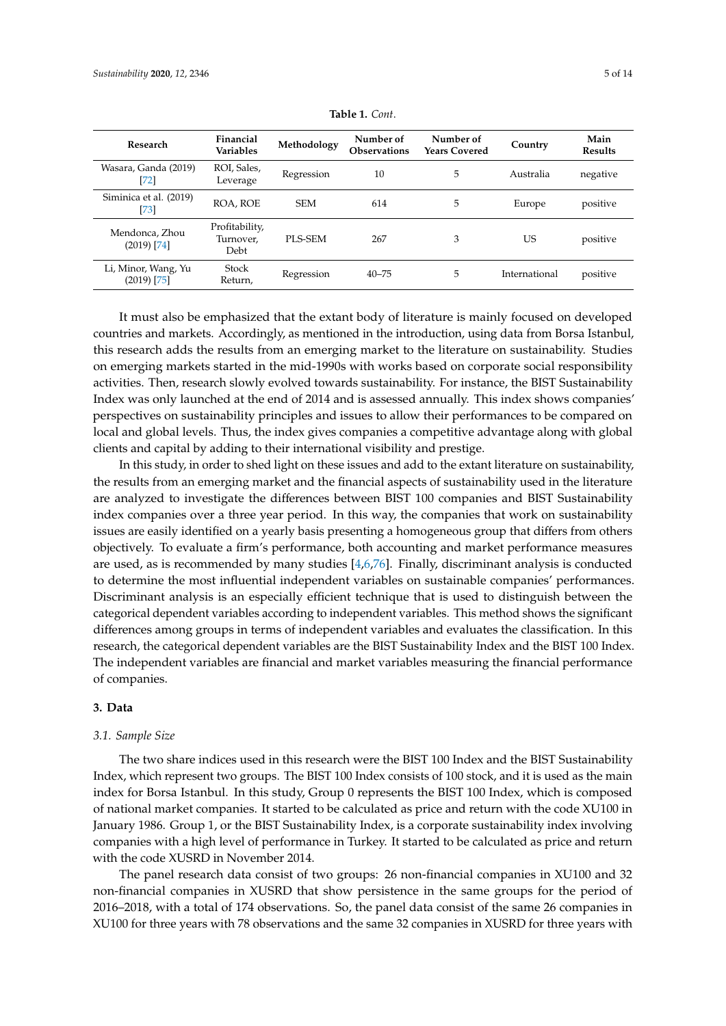<span id="page-4-1"></span>

| Research                             | Financial<br><b>Variables</b>       | Methodology | Number of<br><b>Observations</b> | Number of<br><b>Years Covered</b> | Country       | Main<br><b>Results</b> |
|--------------------------------------|-------------------------------------|-------------|----------------------------------|-----------------------------------|---------------|------------------------|
| Wasara, Ganda (2019)<br>[72]         | ROI, Sales,<br>Leverage             | Regression  | 10                               | 5                                 | Australia     | negative               |
| Siminica et al. (2019)<br>$[73]$     | ROA, ROE                            | <b>SEM</b>  | 614                              | 5                                 | Europe        | positive               |
| Mendonca, Zhou<br>$(2019)$ [74]      | Profitability,<br>Turnover,<br>Debt | PLS-SEM     | 267                              | 3                                 | US            | positive               |
| Li, Minor, Wang, Yu<br>$(2019)$ [75] | Stock<br>Return,                    | Regression  | $40 - 75$                        | 5                                 | International | positive               |

**Table 1.** *Cont*.

It must also be emphasized that the extant body of literature is mainly focused on developed countries and markets. Accordingly, as mentioned in the introduction, using data from Borsa Istanbul, this research adds the results from an emerging market to the literature on sustainability. Studies on emerging markets started in the mid-1990s with works based on corporate social responsibility activities. Then, research slowly evolved towards sustainability. For instance, the BIST Sustainability Index was only launched at the end of 2014 and is assessed annually. This index shows companies' perspectives on sustainability principles and issues to allow their performances to be compared on local and global levels. Thus, the index gives companies a competitive advantage along with global clients and capital by adding to their international visibility and prestige.

In this study, in order to shed light on these issues and add to the extant literature on sustainability, the results from an emerging market and the financial aspects of sustainability used in the literature are analyzed to investigate the differences between BIST 100 companies and BIST Sustainability index companies over a three year period. In this way, the companies that work on sustainability issues are easily identified on a yearly basis presenting a homogeneous group that differs from others objectively. To evaluate a firm's performance, both accounting and market performance measures are used, as is recommended by many studies [\[4,](#page-10-13)[6,](#page-10-2)[76\]](#page-13-11). Finally, discriminant analysis is conducted to determine the most influential independent variables on sustainable companies' performances. Discriminant analysis is an especially efficient technique that is used to distinguish between the categorical dependent variables according to independent variables. This method shows the significant differences among groups in terms of independent variables and evaluates the classification. In this research, the categorical dependent variables are the BIST Sustainability Index and the BIST 100 Index. The independent variables are financial and market variables measuring the financial performance of companies.

# <span id="page-4-0"></span>**3. Data**

#### *3.1. Sample Size*

The two share indices used in this research were the BIST 100 Index and the BIST Sustainability Index, which represent two groups. The BIST 100 Index consists of 100 stock, and it is used as the main index for Borsa Istanbul. In this study, Group 0 represents the BIST 100 Index, which is composed of national market companies. It started to be calculated as price and return with the code XU100 in January 1986. Group 1, or the BIST Sustainability Index, is a corporate sustainability index involving companies with a high level of performance in Turkey. It started to be calculated as price and return with the code XUSRD in November 2014.

The panel research data consist of two groups: 26 non-financial companies in XU100 and 32 non-financial companies in XUSRD that show persistence in the same groups for the period of 2016–2018, with a total of 174 observations. So, the panel data consist of the same 26 companies in XU100 for three years with 78 observations and the same 32 companies in XUSRD for three years with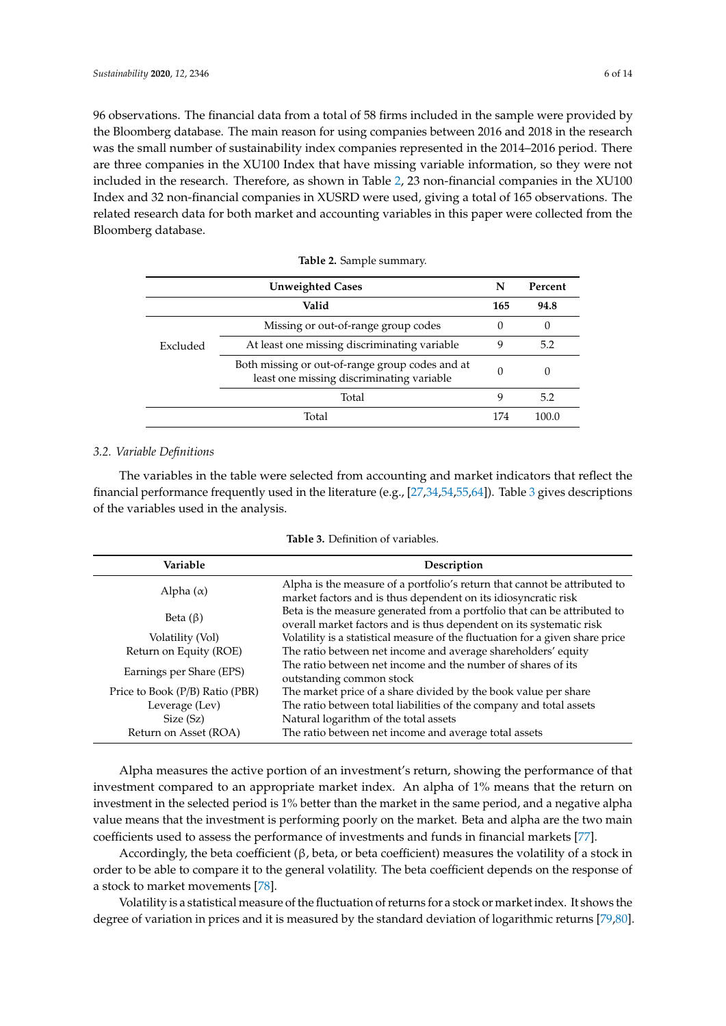96 observations. The financial data from a total of 58 firms included in the sample were provided by the Bloomberg database. The main reason for using companies between 2016 and 2018 in the research was the small number of sustainability index companies represented in the 2014–2016 period. There are three companies in the XU100 Index that have missing variable information, so they were not included in the research. Therefore, as shown in Table [2,](#page-5-0) 23 non-financial companies in the XU100 Index and 32 non-financial companies in XUSRD were used, giving a total of 165 observations. The related research data for both market and accounting variables in this paper were collected from the Bloomberg database.

<span id="page-5-0"></span>

|          | <b>Unweighted Cases</b>                                                                      | N        | Percent |
|----------|----------------------------------------------------------------------------------------------|----------|---------|
|          | Valid                                                                                        | 165      | 94.8    |
|          | Missing or out-of-range group codes                                                          |          | 0       |
| Excluded | At least one missing discriminating variable                                                 | 9        | 5.2     |
|          | Both missing or out-of-range group codes and at<br>least one missing discriminating variable | $\Omega$ | 0       |
|          | Total                                                                                        |          | 5.2     |
|          | Total                                                                                        | 174      | 100 C   |

|  |  | Table 2. Sample summary. |
|--|--|--------------------------|
|--|--|--------------------------|

#### *3.2. Variable Definitions*

The variables in the table were selected from accounting and market indicators that reflect the financial performance frequently used in the literature (e.g., [\[27,](#page-11-9)[34](#page-11-16)[,54](#page-12-11)[,55](#page-12-12)[,64\]](#page-12-21)). Table [3](#page-5-1) gives descriptions of the variables used in the analysis.

<span id="page-5-1"></span>

| Variable                        | Description                                                                                                                                     |
|---------------------------------|-------------------------------------------------------------------------------------------------------------------------------------------------|
| Alpha $(\alpha)$                | Alpha is the measure of a portfolio's return that cannot be attributed to<br>market factors and is thus dependent on its idiosyncratic risk     |
| Beta $(\beta)$                  | Beta is the measure generated from a portfolio that can be attributed to<br>overall market factors and is thus dependent on its systematic risk |
| Volatility (Vol)                | Volatility is a statistical measure of the fluctuation for a given share price                                                                  |
| Return on Equity (ROE)          | The ratio between net income and average shareholders' equity                                                                                   |
| Earnings per Share (EPS)        | The ratio between net income and the number of shares of its<br>outstanding common stock                                                        |
| Price to Book (P/B) Ratio (PBR) | The market price of a share divided by the book value per share                                                                                 |
| Leverage (Lev)                  | The ratio between total liabilities of the company and total assets                                                                             |
| Size (Sz)                       | Natural logarithm of the total assets                                                                                                           |
| Return on Asset (ROA)           | The ratio between net income and average total assets                                                                                           |

Alpha measures the active portion of an investment's return, showing the performance of that investment compared to an appropriate market index. An alpha of 1% means that the return on investment in the selected period is 1% better than the market in the same period, and a negative alpha value means that the investment is performing poorly on the market. Beta and alpha are the two main coefficients used to assess the performance of investments and funds in financial markets [\[77\]](#page-13-12).

Accordingly, the beta coefficient ( $\beta$ , beta, or beta coefficient) measures the volatility of a stock in order to be able to compare it to the general volatility. The beta coefficient depends on the response of a stock to market movements [\[78\]](#page-13-13).

Volatility is a statistical measure of the fluctuation of returns for a stock or market index. It shows the degree of variation in prices and it is measured by the standard deviation of logarithmic returns [\[79](#page-13-14)[,80\]](#page-13-15).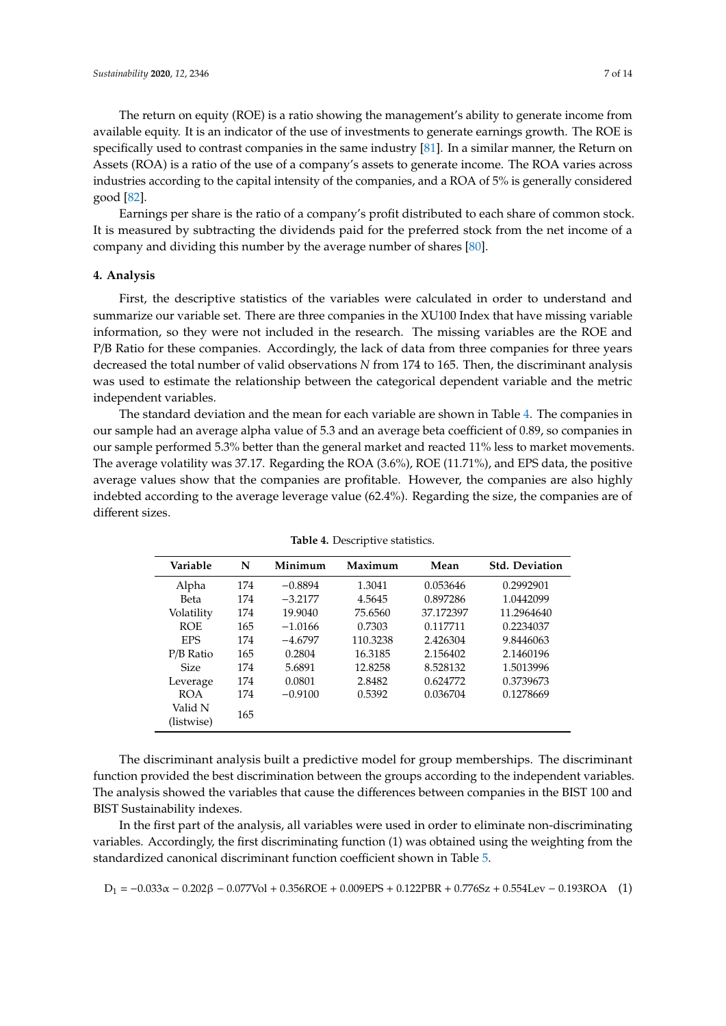The return on equity (ROE) is a ratio showing the management's ability to generate income from available equity. It is an indicator of the use of investments to generate earnings growth. The ROE is specifically used to contrast companies in the same industry [\[81\]](#page-13-16). In a similar manner, the Return on Assets (ROA) is a ratio of the use of a company's assets to generate income. The ROA varies across industries according to the capital intensity of the companies, and a ROA of 5% is generally considered good [\[82\]](#page-13-17).

Earnings per share is the ratio of a company's profit distributed to each share of common stock. It is measured by subtracting the dividends paid for the preferred stock from the net income of a company and dividing this number by the average number of shares [\[80\]](#page-13-15).

#### <span id="page-6-0"></span>**4. Analysis**

First, the descriptive statistics of the variables were calculated in order to understand and summarize our variable set. There are three companies in the XU100 Index that have missing variable information, so they were not included in the research. The missing variables are the ROE and P/B Ratio for these companies. Accordingly, the lack of data from three companies for three years decreased the total number of valid observations *N* from 174 to 165. Then, the discriminant analysis was used to estimate the relationship between the categorical dependent variable and the metric independent variables.

The standard deviation and the mean for each variable are shown in Table [4.](#page-6-1) The companies in our sample had an average alpha value of 5.3 and an average beta coefficient of 0.89, so companies in our sample performed 5.3% better than the general market and reacted 11% less to market movements. The average volatility was 37.17. Regarding the ROA (3.6%), ROE (11.71%), and EPS data, the positive average values show that the companies are profitable. However, the companies are also highly indebted according to the average leverage value (62.4%). Regarding the size, the companies are of different sizes.

<span id="page-6-1"></span>

| Variable              | N   | Minimum   | Maximum  | Mean      | <b>Std. Deviation</b> |
|-----------------------|-----|-----------|----------|-----------|-----------------------|
| Alpha                 | 174 | $-0.8894$ | 1.3041   | 0.053646  | 0.2992901             |
| Beta                  | 174 | $-3.2177$ | 4.5645   | 0.897286  | 1.0442099             |
| Volatility            | 174 | 19.9040   | 75.6560  | 37.172397 | 11.2964640            |
| <b>ROE</b>            | 165 | $-1.0166$ | 0.7303   | 0.117711  | 0.2234037             |
| <b>EPS</b>            | 174 | $-4.6797$ | 110.3238 | 2.426304  | 9.8446063             |
| P/B Ratio             | 165 | 0.2804    | 16.3185  | 2.156402  | 2.1460196             |
| Size                  | 174 | 5.6891    | 12.8258  | 8.528132  | 1.5013996             |
| Leverage              | 174 | 0.0801    | 2.8482   | 0.624772  | 0.3739673             |
| <b>ROA</b>            | 174 | $-0.9100$ | 0.5392   | 0.036704  | 0.1278669             |
| Valid N<br>(listwise) | 165 |           |          |           |                       |

**Table 4.** Descriptive statistics.

The discriminant analysis built a predictive model for group memberships. The discriminant function provided the best discrimination between the groups according to the independent variables. The analysis showed the variables that cause the differences between companies in the BIST 100 and BIST Sustainability indexes.

In the first part of the analysis, all variables were used in order to eliminate non-discriminating variables. Accordingly, the first discriminating function (1) was obtained using the weighting from the standardized canonical discriminant function coefficient shown in Table [5.](#page-7-0)

 $D_1 = -0.033\alpha - 0.202\beta - 0.077$ Vol + 0.356ROE + 0.009EPS + 0.122PBR + 0.776Sz + 0.554Lev – 0.193ROA (1)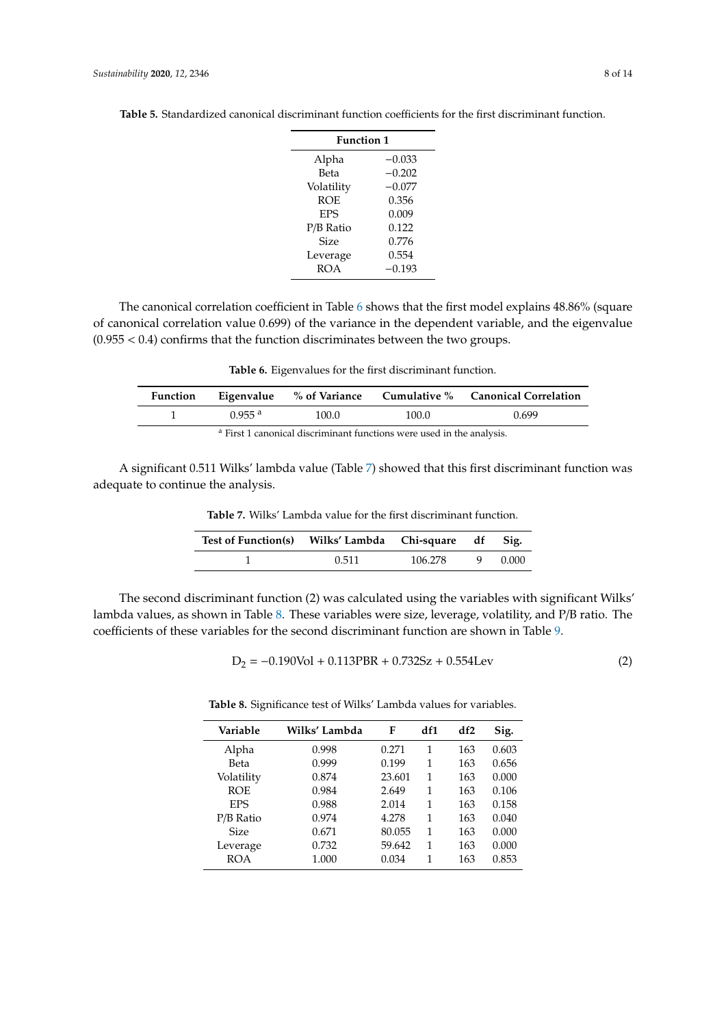| <b>Function 1</b> |          |  |  |  |  |
|-------------------|----------|--|--|--|--|
| Alpha             | $-0.033$ |  |  |  |  |
| Beta              | $-0.202$ |  |  |  |  |
| Volatility        | $-0.077$ |  |  |  |  |
| <b>ROE</b>        | 0.356    |  |  |  |  |
| EPS               | 0.009    |  |  |  |  |
| P/B Ratio         | 0.122    |  |  |  |  |
| Size              | 0.776    |  |  |  |  |
| Leverage          | 0.554    |  |  |  |  |
| ROA               | $-0.193$ |  |  |  |  |

<span id="page-7-0"></span>**Table 5.** Standardized canonical discriminant function coefficients for the first discriminant function.

The canonical correlation coefficient in Table [6](#page-7-1) shows that the first model explains 48.86% (square of canonical correlation value 0.699) of the variance in the dependent variable, and the eigenvalue (0.955 < 0.4) confirms that the function discriminates between the two groups.

**Table 6.** Eigenvalues for the first discriminant function.

<span id="page-7-1"></span>

| <b>Function</b>                                                                  | Eigenvalue        |       |       | % of Variance Cumulative % Canonical Correlation |  |
|----------------------------------------------------------------------------------|-------------------|-------|-------|--------------------------------------------------|--|
|                                                                                  | 0955 <sup>a</sup> | 100.0 | 100.0 | 0.699                                            |  |
| <sup>a</sup> First 1 canonical discriminant functions were used in the analysis. |                   |       |       |                                                  |  |

<span id="page-7-2"></span>A significant 0.511 Wilks' lambda value (Table [7\)](#page-7-2) showed that this first discriminant function was adequate to continue the analysis.

**Table 7.** Wilks' Lambda value for the first discriminant function.

| Test of Function(s) Wilks' Lambda Chi-square df Sig. |       |         |         |
|------------------------------------------------------|-------|---------|---------|
|                                                      | 0.511 | 106.278 | 9 0.000 |

<span id="page-7-3"></span>The second discriminant function (2) was calculated using the variables with significant Wilks' lambda values, as shown in Table [8.](#page-7-3) These variables were size, leverage, volatility, and P/B ratio. The coefficients of these variables for the second discriminant function are shown in Table [9.](#page-8-1)

$$
D_2 = -0.190\text{Vol} + 0.113\text{PBR} + 0.732\text{Sz} + 0.554\text{Lev}
$$
 (2)

| Variable    | Wilks' Lambda | F      | df1 | df <sub>2</sub> | Sig.  |
|-------------|---------------|--------|-----|-----------------|-------|
| Alpha       | 0.998         | 0.271  | 1   | 163             | 0.603 |
| Beta        | 0.999         | 0.199  | 1   | 163             | 0.656 |
| Volatility  | 0.874         | 23.601 | 1   | 163             | 0.000 |
| <b>ROE</b>  | 0.984         | 2.649  | 1   | 163             | 0.106 |
| <b>EPS</b>  | 0.988         | 2.014  | 1   | 163             | 0.158 |
| P/B Ratio   | 0.974         | 4.278  | 1   | 163             | 0.040 |
| <b>Size</b> | 0.671         | 80.055 | 1   | 163             | 0.000 |
| Leverage    | 0.732         | 59.642 | 1   | 163             | 0.000 |
| ROA         | 1.000         | 0.034  | 1   | 163             | 0.853 |
|             |               |        |     |                 |       |

**Table 8.** Significance test of Wilks' Lambda values for variables.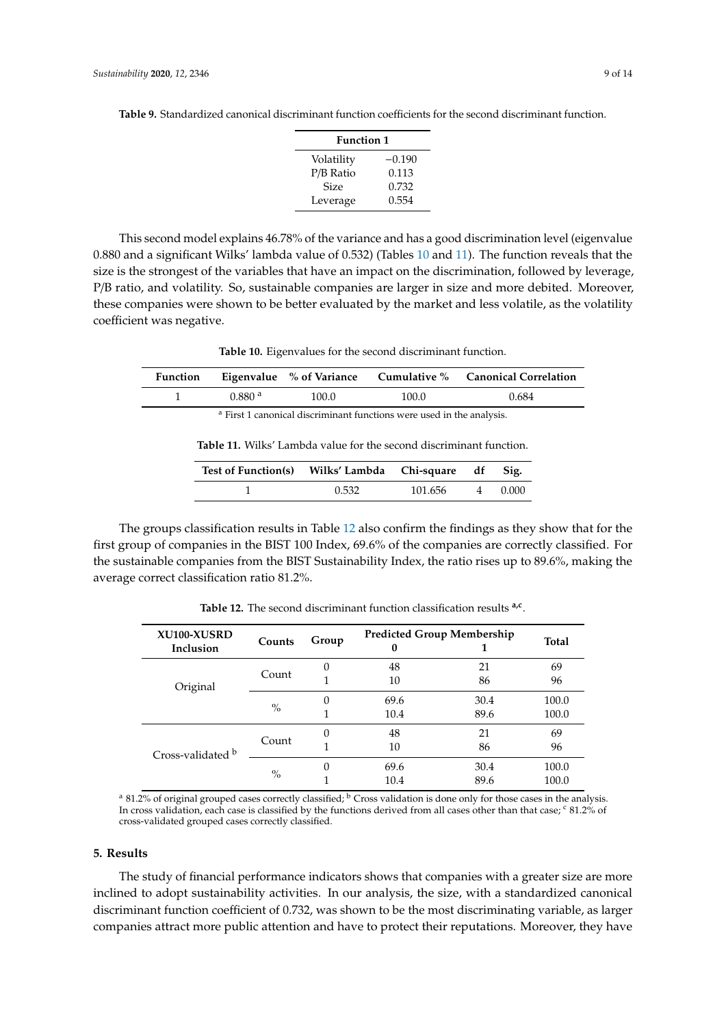| <b>Function 1</b> |          |  |  |  |  |  |
|-------------------|----------|--|--|--|--|--|
| Volatility        | $-0.190$ |  |  |  |  |  |
| P/B Ratio         | 0.113    |  |  |  |  |  |
| <b>Size</b>       | 0.732    |  |  |  |  |  |
| Leverage          | 0.554    |  |  |  |  |  |

<span id="page-8-1"></span>**Table 9.** Standardized canonical discriminant function coefficients for the second discriminant function.

This second model explains 46.78% of the variance and has a good discrimination level (eigenvalue 0.880 and a significant Wilks' lambda value of 0.532) (Tables [10](#page-8-2) and [11\)](#page-8-3). The function reveals that the size is the strongest of the variables that have an impact on the discrimination, followed by leverage, P/B ratio, and volatility. So, sustainable companies are larger in size and more debited. Moreover, these companies were shown to be better evaluated by the market and less volatile, as the volatility coefficient was negative.

**Table 10.** Eigenvalues for the second discriminant function.

<span id="page-8-3"></span><span id="page-8-2"></span>

| <b>Function</b>                                                                  |                            | Eigenvalue % of Variance | Cumulative %                                                               |       |      | <b>Canonical Correlation</b> |  |  |  |
|----------------------------------------------------------------------------------|----------------------------|--------------------------|----------------------------------------------------------------------------|-------|------|------------------------------|--|--|--|
|                                                                                  | 0.880 <sup>a</sup>         | 100.0                    | 100.0                                                                      | 0.684 |      |                              |  |  |  |
| <sup>a</sup> First 1 canonical discriminant functions were used in the analysis. |                            |                          |                                                                            |       |      |                              |  |  |  |
|                                                                                  |                            |                          |                                                                            |       |      |                              |  |  |  |
|                                                                                  |                            |                          | <b>Table 11.</b> Wilks' Lambda value for the second discriminant function. |       |      |                              |  |  |  |
|                                                                                  | <b>Test of Function(s)</b> | Wilks' Lambda            | Chi-square                                                                 | df    | Sig. |                              |  |  |  |

The groups classification results in Table [12](#page-8-4) also confirm the findings as they show that for the first group of companies in the BIST 100 Index, 69.6% of the companies are correctly classified. For the sustainable companies from the BIST Sustainability Index, the ratio rises up to 89.6%, making the average correct classification ratio 81.2%.

<span id="page-8-4"></span>

| XU100-XUSRD<br>Inclusion | Counts | Group | 0    | <b>Predicted Group Membership</b> | <b>Total</b> |
|--------------------------|--------|-------|------|-----------------------------------|--------------|
| Original                 | Count  | 0     | 48   | 21                                | 69           |
|                          |        |       | 10   | 86                                | 96           |
|                          | $\%$   | 0     | 69.6 | 30.4                              | 100.0        |
|                          |        |       | 10.4 | 89.6                              | 100.0        |
| Cross-validated b        | Count  | 0     | 48   | 21                                | 69           |
|                          |        |       | 10   | 86                                | 96           |
|                          | $\%$   | 0     | 69.6 | 30.4                              | 100.0        |
|                          |        |       | 10.4 | 89.6                              | 100.0        |

**Table 12.** The second discriminant function classification results **a,c** .

<sup>a</sup> 81.2% of original grouped cases correctly classified; <sup>b</sup> Cross validation is done only for those cases in the analysis. In cross validation, each case is classified by the functions derived from all cases other than that case;  $c$  81.2% of cross-validated grouped cases correctly classified.

## <span id="page-8-0"></span>**5. Results**

The study of financial performance indicators shows that companies with a greater size are more inclined to adopt sustainability activities. In our analysis, the size, with a standardized canonical discriminant function coefficient of 0.732, was shown to be the most discriminating variable, as larger companies attract more public attention and have to protect their reputations. Moreover, they have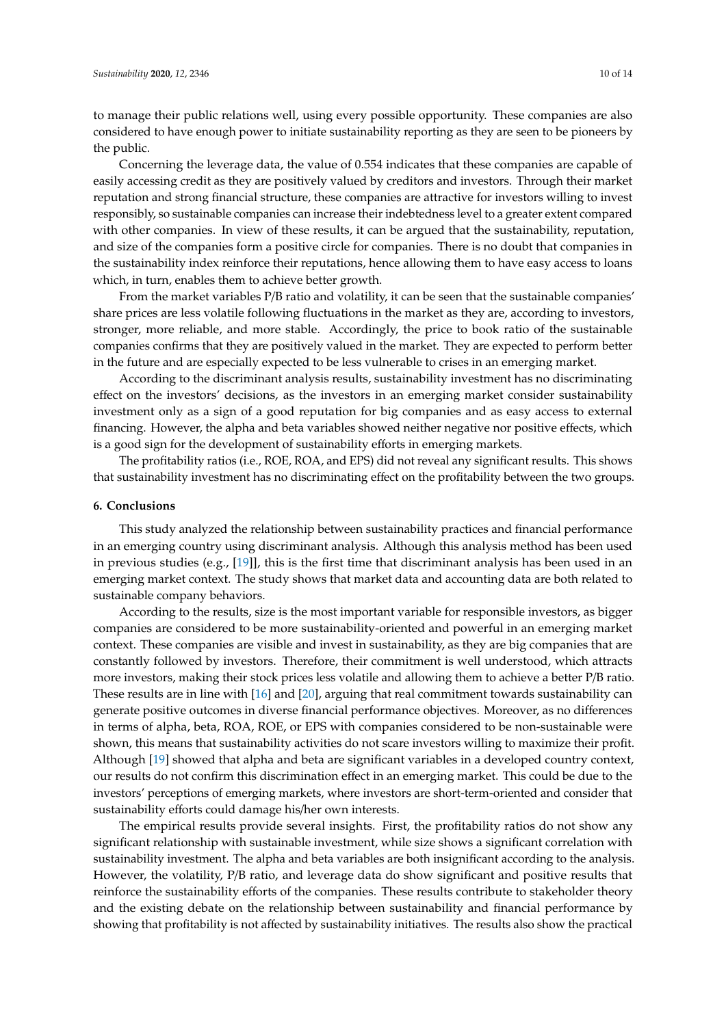to manage their public relations well, using every possible opportunity. These companies are also considered to have enough power to initiate sustainability reporting as they are seen to be pioneers by the public.

Concerning the leverage data, the value of 0.554 indicates that these companies are capable of easily accessing credit as they are positively valued by creditors and investors. Through their market reputation and strong financial structure, these companies are attractive for investors willing to invest responsibly, so sustainable companies can increase their indebtedness level to a greater extent compared with other companies. In view of these results, it can be argued that the sustainability, reputation, and size of the companies form a positive circle for companies. There is no doubt that companies in the sustainability index reinforce their reputations, hence allowing them to have easy access to loans which, in turn, enables them to achieve better growth.

From the market variables P/B ratio and volatility, it can be seen that the sustainable companies' share prices are less volatile following fluctuations in the market as they are, according to investors, stronger, more reliable, and more stable. Accordingly, the price to book ratio of the sustainable companies confirms that they are positively valued in the market. They are expected to perform better in the future and are especially expected to be less vulnerable to crises in an emerging market.

According to the discriminant analysis results, sustainability investment has no discriminating effect on the investors' decisions, as the investors in an emerging market consider sustainability investment only as a sign of a good reputation for big companies and as easy access to external financing. However, the alpha and beta variables showed neither negative nor positive effects, which is a good sign for the development of sustainability efforts in emerging markets.

The profitability ratios (i.e., ROE, ROA, and EPS) did not reveal any significant results. This shows that sustainability investment has no discriminating effect on the profitability between the two groups.

### <span id="page-9-0"></span>**6. Conclusions**

This study analyzed the relationship between sustainability practices and financial performance in an emerging country using discriminant analysis. Although this analysis method has been used in previous studies (e.g., [\[19\]](#page-11-1)], this is the first time that discriminant analysis has been used in an emerging market context. The study shows that market data and accounting data are both related to sustainable company behaviors.

According to the results, size is the most important variable for responsible investors, as bigger companies are considered to be more sustainability-oriented and powerful in an emerging market context. These companies are visible and invest in sustainability, as they are big companies that are constantly followed by investors. Therefore, their commitment is well understood, which attracts more investors, making their stock prices less volatile and allowing them to achieve a better P/B ratio. These results are in line with [\[16\]](#page-10-11) and [\[20\]](#page-11-2), arguing that real commitment towards sustainability can generate positive outcomes in diverse financial performance objectives. Moreover, as no differences in terms of alpha, beta, ROA, ROE, or EPS with companies considered to be non-sustainable were shown, this means that sustainability activities do not scare investors willing to maximize their profit. Although [\[19\]](#page-11-1) showed that alpha and beta are significant variables in a developed country context, our results do not confirm this discrimination effect in an emerging market. This could be due to the investors' perceptions of emerging markets, where investors are short-term-oriented and consider that sustainability efforts could damage his/her own interests.

The empirical results provide several insights. First, the profitability ratios do not show any significant relationship with sustainable investment, while size shows a significant correlation with sustainability investment. The alpha and beta variables are both insignificant according to the analysis. However, the volatility, P/B ratio, and leverage data do show significant and positive results that reinforce the sustainability efforts of the companies. These results contribute to stakeholder theory and the existing debate on the relationship between sustainability and financial performance by showing that profitability is not affected by sustainability initiatives. The results also show the practical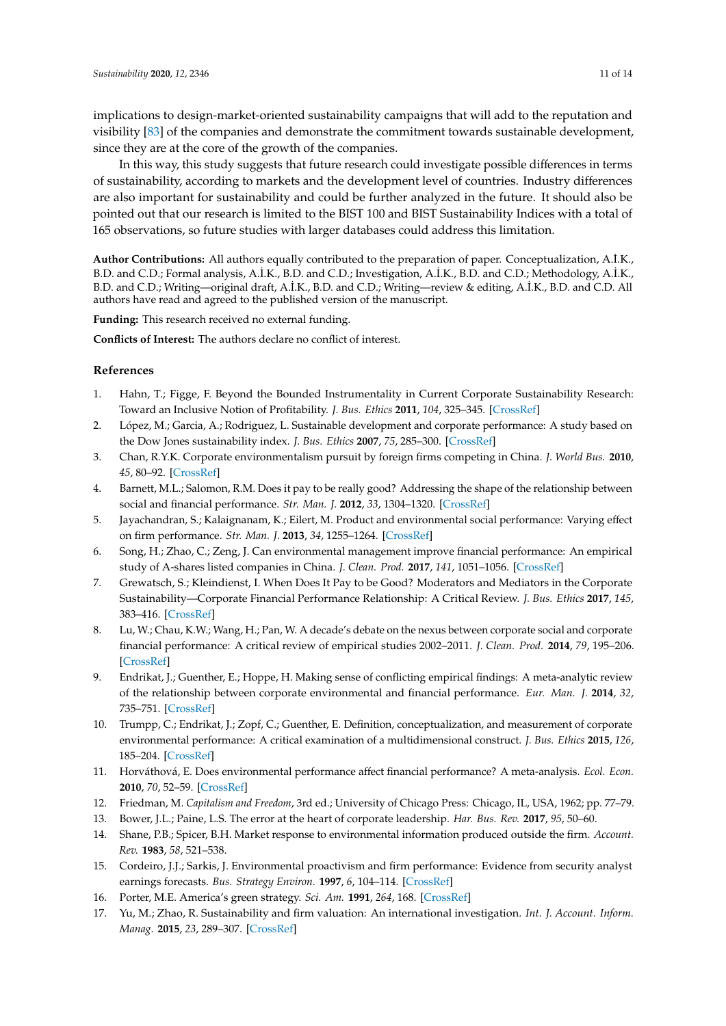implications to design-market-oriented sustainability campaigns that will add to the reputation and visibility [\[83\]](#page-13-18) of the companies and demonstrate the commitment towards sustainable development, since they are at the core of the growth of the companies.

In this way, this study suggests that future research could investigate possible differences in terms of sustainability, according to markets and the development level of countries. Industry differences are also important for sustainability and could be further analyzed in the future. It should also be pointed out that our research is limited to the BIST 100 and BIST Sustainability Indices with a total of 165 observations, so future studies with larger databases could address this limitation.

**Author Contributions:** All authors equally contributed to the preparation of paper. Conceptualization, A.˙I.K., B.D. and C.D.; Formal analysis, A.İ.K., B.D. and C.D.; Investigation, A.İ.K., B.D. and C.D.; Methodology, A.İ.K., B.D. and C.D.; Writing—original draft, A.İ.K., B.D. and C.D.; Writing—review & editing, A.İ.K., B.D. and C.D. All authors have read and agreed to the published version of the manuscript.

**Funding:** This research received no external funding.

**Conflicts of Interest:** The authors declare no conflict of interest.

## **References**

- <span id="page-10-0"></span>1. Hahn, T.; Figge, F. Beyond the Bounded Instrumentality in Current Corporate Sustainability Research: Toward an Inclusive Notion of Profitability. *J. Bus. Ethics* **2011**, *104*, 325–345. [\[CrossRef\]](http://dx.doi.org/10.1007/s10551-011-0911-0)
- <span id="page-10-1"></span>2. López, M.; Garcia, A.; Rodriguez, L. Sustainable development and corporate performance: A study based on the Dow Jones sustainability index. *J. Bus. Ethics* **2007**, *75*, 285–300. [\[CrossRef\]](http://dx.doi.org/10.1007/s10551-006-9253-8)
- 3. Chan, R.Y.K. Corporate environmentalism pursuit by foreign firms competing in China. *J. World Bus.* **2010**, *45*, 80–92. [\[CrossRef\]](http://dx.doi.org/10.1016/j.jwb.2009.04.010)
- <span id="page-10-13"></span>4. Barnett, M.L.; Salomon, R.M. Does it pay to be really good? Addressing the shape of the relationship between social and financial performance. *Str. Man. J.* **2012**, *33*, 1304–1320. [\[CrossRef\]](http://dx.doi.org/10.1002/smj.1980)
- 5. Jayachandran, S.; Kalaignanam, K.; Eilert, M. Product and environmental social performance: Varying effect on firm performance. *Str. Man. J.* **2013**, *34*, 1255–1264. [\[CrossRef\]](http://dx.doi.org/10.1002/smj.2054)
- <span id="page-10-2"></span>6. Song, H.; Zhao, C.; Zeng, J. Can environmental management improve financial performance: An empirical study of A-shares listed companies in China. *J. Clean. Prod.* **2017**, *141*, 1051–1056. [\[CrossRef\]](http://dx.doi.org/10.1016/j.jclepro.2016.09.105)
- <span id="page-10-3"></span>7. Grewatsch, S.; Kleindienst, I. When Does It Pay to be Good? Moderators and Mediators in the Corporate Sustainability—Corporate Financial Performance Relationship: A Critical Review. *J. Bus. Ethics* **2017**, *145*, 383–416. [\[CrossRef\]](http://dx.doi.org/10.1007/s10551-015-2852-5)
- <span id="page-10-4"></span>8. Lu, W.; Chau, K.W.; Wang, H.; Pan, W. A decade's debate on the nexus between corporate social and corporate financial performance: A critical review of empirical studies 2002–2011. *J. Clean. Prod.* **2014**, *79*, 195–206. [\[CrossRef\]](http://dx.doi.org/10.1016/j.jclepro.2014.04.072)
- 9. Endrikat, J.; Guenther, E.; Hoppe, H. Making sense of conflicting empirical findings: A meta-analytic review of the relationship between corporate environmental and financial performance. *Eur. Man. J.* **2014**, *32*, 735–751. [\[CrossRef\]](http://dx.doi.org/10.1016/j.emj.2013.12.004)
- <span id="page-10-5"></span>10. Trumpp, C.; Endrikat, J.; Zopf, C.; Guenther, E. Definition, conceptualization, and measurement of corporate environmental performance: A critical examination of a multidimensional construct. *J. Bus. Ethics* **2015**, *126*, 185–204. [\[CrossRef\]](http://dx.doi.org/10.1007/s10551-013-1931-8)
- <span id="page-10-6"></span>11. Horváthová, E. Does environmental performance affect financial performance? A meta-analysis. *Ecol. Econ.* **2010**, *70*, 52–59. [\[CrossRef\]](http://dx.doi.org/10.1016/j.ecolecon.2010.04.004)
- <span id="page-10-7"></span>12. Friedman, M. *Capitalism and Freedom*, 3rd ed.; University of Chicago Press: Chicago, IL, USA, 1962; pp. 77–79.
- <span id="page-10-8"></span>13. Bower, J.L.; Paine, L.S. The error at the heart of corporate leadership. *Har. Bus. Rev.* **2017**, *95*, 50–60.
- <span id="page-10-9"></span>14. Shane, P.B.; Spicer, B.H. Market response to environmental information produced outside the firm. *Account. Rev.* **1983**, *58*, 521–538.
- <span id="page-10-10"></span>15. Cordeiro, J.J.; Sarkis, J. Environmental proactivism and firm performance: Evidence from security analyst earnings forecasts. *Bus. Strategy Environ.* **1997**, *6*, 104–114. [\[CrossRef\]](http://dx.doi.org/10.1002/(SICI)1099-0836(199705)6:2<104::AID-BSE102>3.0.CO;2-T)
- <span id="page-10-11"></span>16. Porter, M.E. America's green strategy. *Sci. Am.* **1991**, *264*, 168. [\[CrossRef\]](http://dx.doi.org/10.1038/scientificamerican0491-168)
- <span id="page-10-12"></span>17. Yu, M.; Zhao, R. Sustainability and firm valuation: An international investigation. *Int. J. Account. Inform. Manag.* **2015**, *23*, 289–307. [\[CrossRef\]](http://dx.doi.org/10.1108/IJAIM-07-2014-0050)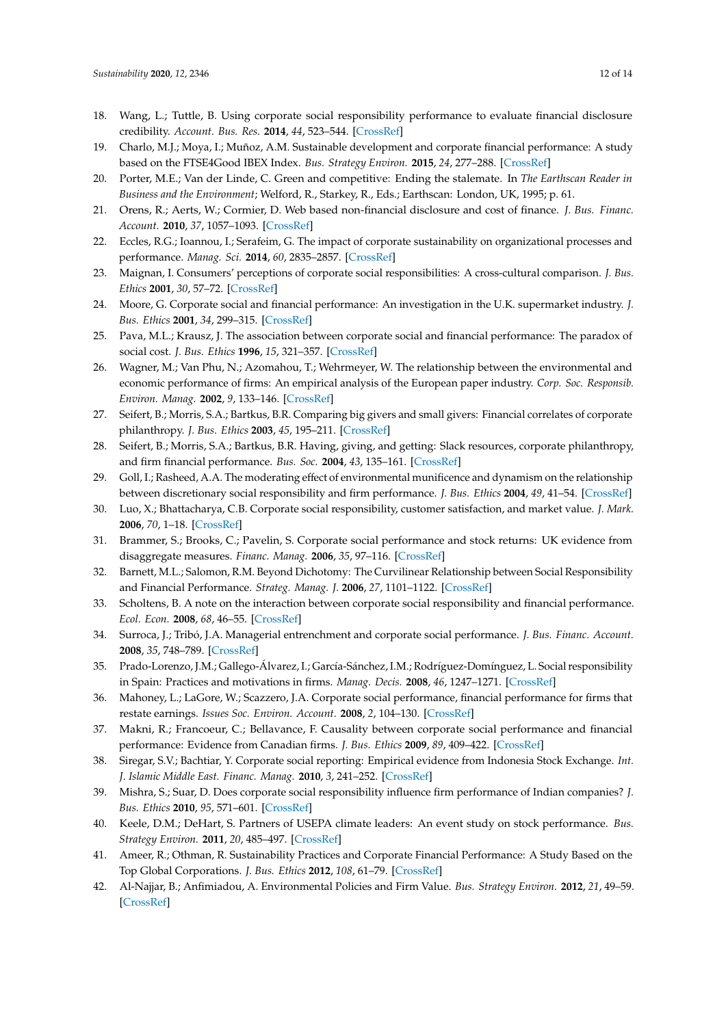- <span id="page-11-0"></span>18. Wang, L.; Tuttle, B. Using corporate social responsibility performance to evaluate financial disclosure credibility. *Account. Bus. Res.* **2014**, *44*, 523–544. [\[CrossRef\]](http://dx.doi.org/10.1080/00014788.2014.922408)
- <span id="page-11-1"></span>19. Charlo, M.J.; Moya, I.; Muñoz, A.M. Sustainable development and corporate financial performance: A study based on the FTSE4Good IBEX Index. *Bus. Strategy Environ.* **2015**, *24*, 277–288. [\[CrossRef\]](http://dx.doi.org/10.1002/bse.1824)
- <span id="page-11-2"></span>20. Porter, M.E.; Van der Linde, C. Green and competitive: Ending the stalemate. In *The Earthscan Reader in Business and the Environment*; Welford, R., Starkey, R., Eds.; Earthscan: London, UK, 1995; p. 61.
- <span id="page-11-3"></span>21. Orens, R.; Aerts, W.; Cormier, D. Web based non-financial disclosure and cost of finance. *J. Bus. Financ. Account.* **2010**, *37*, 1057–1093. [\[CrossRef\]](http://dx.doi.org/10.1111/j.1468-5957.2010.02212.x)
- <span id="page-11-4"></span>22. Eccles, R.G.; Ioannou, I.; Serafeim, G. The impact of corporate sustainability on organizational processes and performance. *Manag. Sci.* **2014**, *60*, 2835–2857. [\[CrossRef\]](http://dx.doi.org/10.1287/mnsc.2014.1984)
- <span id="page-11-5"></span>23. Maignan, I. Consumers' perceptions of corporate social responsibilities: A cross-cultural comparison. *J. Bus. Ethics* **2001**, *30*, 57–72. [\[CrossRef\]](http://dx.doi.org/10.1023/A:1006433928640)
- <span id="page-11-6"></span>24. Moore, G. Corporate social and financial performance: An investigation in the U.K. supermarket industry. *J. Bus. Ethics* **2001**, *34*, 299–315. [\[CrossRef\]](http://dx.doi.org/10.1023/A:1012537016969)
- <span id="page-11-7"></span>25. Pava, M.L.; Krausz, J. The association between corporate social and financial performance: The paradox of social cost. *J. Bus. Ethics* **1996**, *15*, 321–357. [\[CrossRef\]](http://dx.doi.org/10.1007/BF00382958)
- <span id="page-11-8"></span>26. Wagner, M.; Van Phu, N.; Azomahou, T.; Wehrmeyer, W. The relationship between the environmental and economic performance of firms: An empirical analysis of the European paper industry. *Corp. Soc. Responsib. Environ. Manag.* **2002**, *9*, 133–146. [\[CrossRef\]](http://dx.doi.org/10.1002/csr.22)
- <span id="page-11-9"></span>27. Seifert, B.; Morris, S.A.; Bartkus, B.R. Comparing big givers and small givers: Financial correlates of corporate philanthropy. *J. Bus. Ethics* **2003**, *45*, 195–211. [\[CrossRef\]](http://dx.doi.org/10.1023/A:1024199411807)
- <span id="page-11-10"></span>28. Seifert, B.; Morris, S.A.; Bartkus, B.R. Having, giving, and getting: Slack resources, corporate philanthropy, and firm financial performance. *Bus. Soc.* **2004**, *43*, 135–161. [\[CrossRef\]](http://dx.doi.org/10.1177/0007650304263919)
- <span id="page-11-11"></span>29. Goll, I.; Rasheed, A.A. The moderating effect of environmental munificence and dynamism on the relationship between discretionary social responsibility and firm performance. *J. Bus. Ethics* **2004**, *49*, 41–54. [\[CrossRef\]](http://dx.doi.org/10.1023/B:BUSI.0000013862.14941.4e)
- <span id="page-11-12"></span>30. Luo, X.; Bhattacharya, C.B. Corporate social responsibility, customer satisfaction, and market value. *J. Mark.* **2006**, *70*, 1–18. [\[CrossRef\]](http://dx.doi.org/10.1509/jmkg.70.4.001)
- <span id="page-11-13"></span>31. Brammer, S.; Brooks, C.; Pavelin, S. Corporate social performance and stock returns: UK evidence from disaggregate measures. *Financ. Manag.* **2006**, *35*, 97–116. [\[CrossRef\]](http://dx.doi.org/10.1111/j.1755-053X.2006.tb00149.x)
- <span id="page-11-14"></span>32. Barnett, M.L.; Salomon, R.M. Beyond Dichotomy: The Curvilinear Relationship between Social Responsibility and Financial Performance. *Strateg. Manag. J.* **2006**, *27*, 1101–1122. [\[CrossRef\]](http://dx.doi.org/10.1002/smj.557)
- <span id="page-11-15"></span>33. Scholtens, B. A note on the interaction between corporate social responsibility and financial performance. *Ecol. Econ.* **2008**, *68*, 46–55. [\[CrossRef\]](http://dx.doi.org/10.1016/j.ecolecon.2008.01.024)
- <span id="page-11-16"></span>34. Surroca, J.; Tribó, J.A. Managerial entrenchment and corporate social performance. *J. Bus. Financ. Account.* **2008**, *35*, 748–789. [\[CrossRef\]](http://dx.doi.org/10.1111/j.1468-5957.2008.02090.x)
- <span id="page-11-17"></span>35. Prado-Lorenzo, J.M.; Gallego-Álvarez, I.; García-Sánchez, I.M.; Rodríguez-Domínguez, L. Social responsibility in Spain: Practices and motivations in firms. *Manag. Decis.* **2008**, *46*, 1247–1271. [\[CrossRef\]](http://dx.doi.org/10.1108/00251740810901417)
- <span id="page-11-18"></span>36. Mahoney, L.; LaGore, W.; Scazzero, J.A. Corporate social performance, financial performance for firms that restate earnings. *Issues Soc. Environ. Account.* **2008**, *2*, 104–130. [\[CrossRef\]](http://dx.doi.org/10.22164/isea.v2i1.27)
- <span id="page-11-19"></span>37. Makni, R.; Francoeur, C.; Bellavance, F. Causality between corporate social performance and financial performance: Evidence from Canadian firms. *J. Bus. Ethics* **2009**, *89*, 409–422. [\[CrossRef\]](http://dx.doi.org/10.1007/s10551-008-0007-7)
- <span id="page-11-20"></span>38. Siregar, S.V.; Bachtiar, Y. Corporate social reporting: Empirical evidence from Indonesia Stock Exchange. *Int. J. Islamic Middle East. Financ. Manag.* **2010**, *3*, 241–252. [\[CrossRef\]](http://dx.doi.org/10.1108/17538391011072435)
- <span id="page-11-21"></span>39. Mishra, S.; Suar, D. Does corporate social responsibility influence firm performance of Indian companies? *J. Bus. Ethics* **2010**, *95*, 571–601. [\[CrossRef\]](http://dx.doi.org/10.1007/s10551-010-0441-1)
- <span id="page-11-22"></span>40. Keele, D.M.; DeHart, S. Partners of USEPA climate leaders: An event study on stock performance. *Bus. Strategy Environ.* **2011**, *20*, 485–497. [\[CrossRef\]](http://dx.doi.org/10.1002/bse.704)
- <span id="page-11-23"></span>41. Ameer, R.; Othman, R. Sustainability Practices and Corporate Financial Performance: A Study Based on the Top Global Corporations. *J. Bus. Ethics* **2012**, *108*, 61–79. [\[CrossRef\]](http://dx.doi.org/10.1007/s10551-011-1063-y)
- <span id="page-11-24"></span>42. Al-Najjar, B.; Anfimiadou, A. Environmental Policies and Firm Value. *Bus. Strategy Environ.* **2012**, *21*, 49–59. [\[CrossRef\]](http://dx.doi.org/10.1002/bse.713)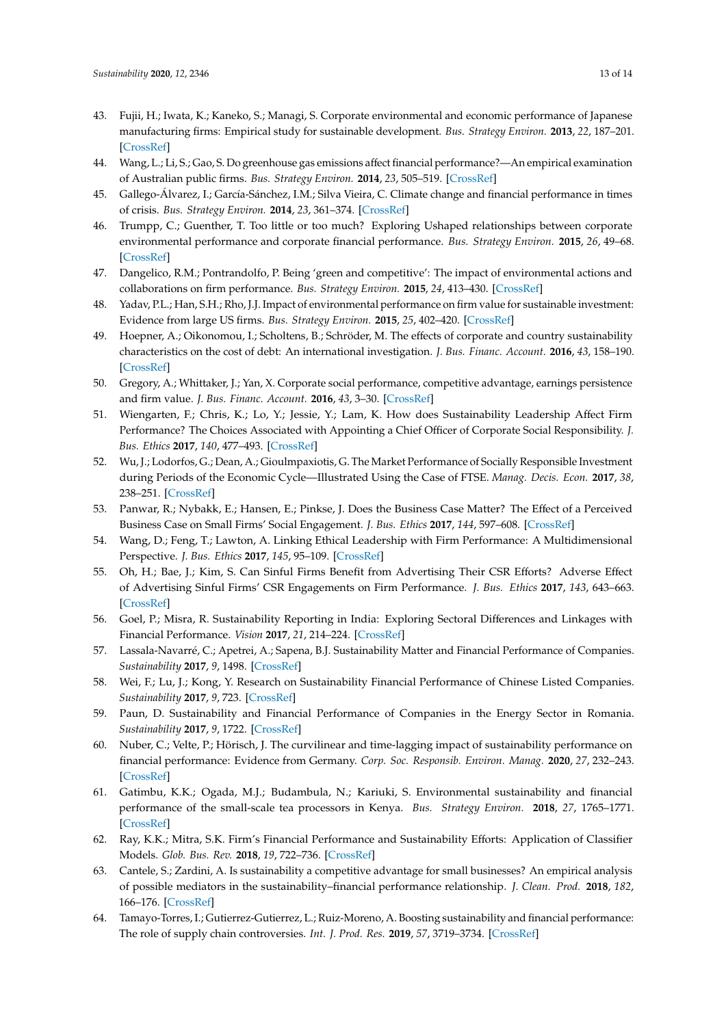- <span id="page-12-0"></span>43. Fujii, H.; Iwata, K.; Kaneko, S.; Managi, S. Corporate environmental and economic performance of Japanese manufacturing firms: Empirical study for sustainable development. *Bus. Strategy Environ.* **2013**, *22*, 187–201. [\[CrossRef\]](http://dx.doi.org/10.1002/bse.1747)
- <span id="page-12-1"></span>44. Wang, L.; Li, S.; Gao, S. Do greenhouse gas emissions affect financial performance?—An empirical examination of Australian public firms. *Bus. Strategy Environ.* **2014**, *23*, 505–519. [\[CrossRef\]](http://dx.doi.org/10.1002/bse.1790)
- <span id="page-12-2"></span>45. Gallego-Álvarez, I.; García-Sánchez, I.M.; Silva Vieira, C. Climate change and financial performance in times of crisis. *Bus. Strategy Environ.* **2014**, *23*, 361–374. [\[CrossRef\]](http://dx.doi.org/10.1002/bse.1786)
- <span id="page-12-3"></span>46. Trumpp, C.; Guenther, T. Too little or too much? Exploring Ushaped relationships between corporate environmental performance and corporate financial performance. *Bus. Strategy Environ.* **2015**, *26*, 49–68. [\[CrossRef\]](http://dx.doi.org/10.1002/bse.1900)
- <span id="page-12-4"></span>47. Dangelico, R.M.; Pontrandolfo, P. Being 'green and competitive': The impact of environmental actions and collaborations on firm performance. *Bus. Strategy Environ.* **2015**, *24*, 413–430. [\[CrossRef\]](http://dx.doi.org/10.1002/bse.1828)
- <span id="page-12-5"></span>48. Yadav, P.L.; Han, S.H.; Rho, J.J. Impact of environmental performance on firm value for sustainable investment: Evidence from large US firms. *Bus. Strategy Environ.* **2015**, *25*, 402–420. [\[CrossRef\]](http://dx.doi.org/10.1002/bse.1883)
- <span id="page-12-6"></span>49. Hoepner, A.; Oikonomou, I.; Scholtens, B.; Schröder, M. The effects of corporate and country sustainability characteristics on the cost of debt: An international investigation. *J. Bus. Financ. Account.* **2016**, *43*, 158–190. [\[CrossRef\]](http://dx.doi.org/10.1111/jbfa.12183)
- <span id="page-12-7"></span>50. Gregory, A.; Whittaker, J.; Yan, X. Corporate social performance, competitive advantage, earnings persistence and firm value. *J. Bus. Financ. Account.* **2016**, *43*, 3–30. [\[CrossRef\]](http://dx.doi.org/10.1111/jbfa.12182)
- <span id="page-12-8"></span>51. Wiengarten, F.; Chris, K.; Lo, Y.; Jessie, Y.; Lam, K. How does Sustainability Leadership Affect Firm Performance? The Choices Associated with Appointing a Chief Officer of Corporate Social Responsibility. *J. Bus. Ethics* **2017**, *140*, 477–493. [\[CrossRef\]](http://dx.doi.org/10.1007/s10551-015-2666-5)
- <span id="page-12-9"></span>52. Wu, J.; Lodorfos, G.; Dean, A.; Gioulmpaxiotis, G. The Market Performance of Socially Responsible Investment during Periods of the Economic Cycle—Illustrated Using the Case of FTSE. *Manag. Decis. Econ.* **2017**, *38*, 238–251. [\[CrossRef\]](http://dx.doi.org/10.1002/mde.2772)
- <span id="page-12-10"></span>53. Panwar, R.; Nybakk, E.; Hansen, E.; Pinkse, J. Does the Business Case Matter? The Effect of a Perceived Business Case on Small Firms' Social Engagement. *J. Bus. Ethics* **2017**, *144*, 597–608. [\[CrossRef\]](http://dx.doi.org/10.1007/s10551-015-2835-6)
- <span id="page-12-11"></span>54. Wang, D.; Feng, T.; Lawton, A. Linking Ethical Leadership with Firm Performance: A Multidimensional Perspective. *J. Bus. Ethics* **2017**, *145*, 95–109. [\[CrossRef\]](http://dx.doi.org/10.1007/s10551-015-2905-9)
- <span id="page-12-12"></span>55. Oh, H.; Bae, J.; Kim, S. Can Sinful Firms Benefit from Advertising Their CSR Efforts? Adverse Effect of Advertising Sinful Firms' CSR Engagements on Firm Performance. *J. Bus. Ethics* **2017**, *143*, 643–663. [\[CrossRef\]](http://dx.doi.org/10.1007/s10551-016-3072-3)
- <span id="page-12-13"></span>56. Goel, P.; Misra, R. Sustainability Reporting in India: Exploring Sectoral Differences and Linkages with Financial Performance. *Vision* **2017**, *21*, 214–224. [\[CrossRef\]](http://dx.doi.org/10.1177/0972262917700996)
- <span id="page-12-14"></span>57. Lassala-Navarré, C.; Apetrei, A.; Sapena, B.J. Sustainability Matter and Financial Performance of Companies. *Sustainability* **2017**, *9*, 1498. [\[CrossRef\]](http://dx.doi.org/10.3390/su9091498)
- <span id="page-12-15"></span>58. Wei, F.; Lu, J.; Kong, Y. Research on Sustainability Financial Performance of Chinese Listed Companies. *Sustainability* **2017**, *9*, 723. [\[CrossRef\]](http://dx.doi.org/10.3390/su9050723)
- <span id="page-12-16"></span>59. Paun, D. Sustainability and Financial Performance of Companies in the Energy Sector in Romania. *Sustainability* **2017**, *9*, 1722. [\[CrossRef\]](http://dx.doi.org/10.3390/su9101722)
- <span id="page-12-17"></span>60. Nuber, C.; Velte, P.; Hörisch, J. The curvilinear and time-lagging impact of sustainability performance on financial performance: Evidence from Germany. *Corp. Soc. Responsib. Environ. Manag.* **2020**, *27*, 232–243. [\[CrossRef\]](http://dx.doi.org/10.1002/csr.1795)
- <span id="page-12-18"></span>61. Gatimbu, K.K.; Ogada, M.J.; Budambula, N.; Kariuki, S. Environmental sustainability and financial performance of the small-scale tea processors in Kenya. *Bus. Strategy Environ.* **2018**, *27*, 1765–1771. [\[CrossRef\]](http://dx.doi.org/10.1002/bse.2243)
- <span id="page-12-19"></span>62. Ray, K.K.; Mitra, S.K. Firm's Financial Performance and Sustainability Efforts: Application of Classifier Models. *Glob. Bus. Rev.* **2018**, *19*, 722–736. [\[CrossRef\]](http://dx.doi.org/10.1177/0972150917713859)
- <span id="page-12-20"></span>63. Cantele, S.; Zardini, A. Is sustainability a competitive advantage for small businesses? An empirical analysis of possible mediators in the sustainability–financial performance relationship. *J. Clean. Prod.* **2018**, *182*, 166–176. [\[CrossRef\]](http://dx.doi.org/10.1016/j.jclepro.2018.02.016)
- <span id="page-12-21"></span>64. Tamayo-Torres, I.; Gutierrez-Gutierrez, L.; Ruiz-Moreno, A. Boosting sustainability and financial performance: The role of supply chain controversies. *Int. J. Prod. Res.* **2019**, *57*, 3719–3734. [\[CrossRef\]](http://dx.doi.org/10.1080/00207543.2018.1562248)